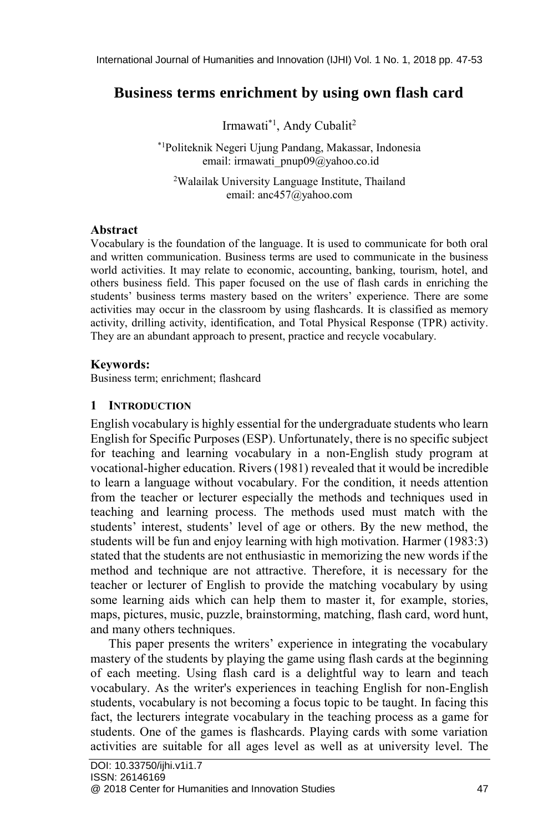# **Business terms enrichment by using own flash card**

Irmawati<sup>\*1</sup>, Andy Cubalit<sup>2</sup>

\*1Politeknik Negeri Ujung Pandang, Makassar, Indonesia email: irmawati\_pnup09@yahoo.co.id

<sup>2</sup>Walailak University Language Institute, Thailand email: anc457@yahoo.com

### **Abstract**

Vocabulary is the foundation of the language. It is used to communicate for both oral and written communication. Business terms are used to communicate in the business world activities. It may relate to economic, accounting, banking, tourism, hotel, and others business field. This paper focused on the use of flash cards in enriching the students' business terms mastery based on the writers' experience. There are some activities may occur in the classroom by using flashcards. It is classified as memory activity, drilling activity, identification, and Total Physical Response (TPR) activity. They are an abundant approach to present, practice and recycle vocabulary.

### **Keywords:**

Business term; enrichment; flashcard

### **1 INTRODUCTION**

English vocabulary is highly essential for the undergraduate students who learn English for Specific Purposes (ESP). Unfortunately, there is no specific subject for teaching and learning vocabulary in a non-English study program at vocational-higher education. Rivers (1981) revealed that it would be incredible to learn a language without vocabulary. For the condition, it needs attention from the teacher or lecturer especially the methods and techniques used in teaching and learning process. The methods used must match with the students' interest, students' level of age or others. By the new method, the students will be fun and enjoy learning with high motivation. Harmer (1983:3) stated that the students are not enthusiastic in memorizing the new words if the method and technique are not attractive. Therefore, it is necessary for the teacher or lecturer of English to provide the matching vocabulary by using some learning aids which can help them to master it, for example, stories, maps, pictures, music, puzzle, brainstorming, matching, flash card, word hunt, and many others techniques.

This paper presents the writers' experience in integrating the vocabulary mastery of the students by playing the game using flash cards at the beginning of each meeting. Using flash card is a delightful way to learn and teach vocabulary. As the writer's experiences in teaching English for non-English students, vocabulary is not becoming a focus topic to be taught. In facing this fact, the lecturers integrate vocabulary in the teaching process as a game for students. One of the games is flashcards. Playing cards with some variation activities are suitable for all ages level as well as at university level. The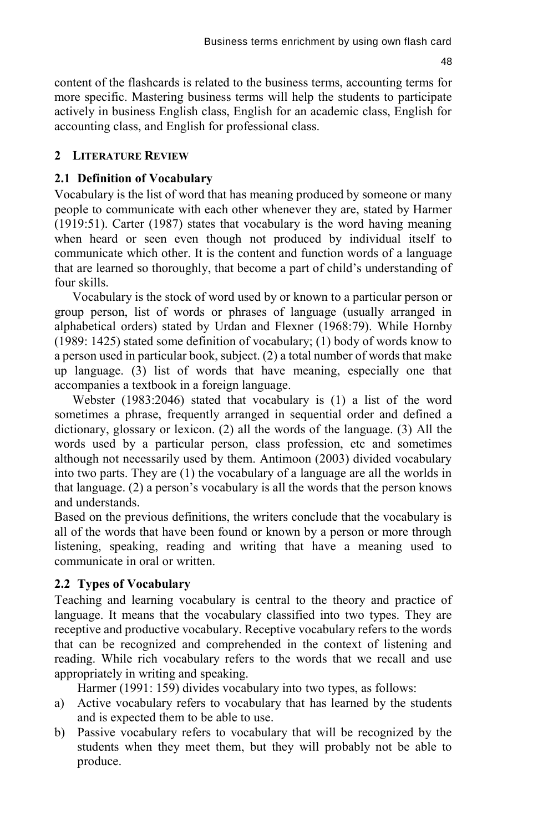content of the flashcards is related to the business terms, accounting terms for more specific. Mastering business terms will help the students to participate actively in business English class, English for an academic class, English for accounting class, and English for professional class.

### **2 LITERATURE REVIEW**

## **2.1 Definition of Vocabulary**

Vocabulary is the list of word that has meaning produced by someone or many people to communicate with each other whenever they are, stated by Harmer (1919:51). Carter (1987) states that vocabulary is the word having meaning when heard or seen even though not produced by individual itself to communicate which other. It is the content and function words of a language that are learned so thoroughly, that become a part of child's understanding of four skills.

Vocabulary is the stock of word used by or known to a particular person or group person, list of words or phrases of language (usually arranged in alphabetical orders) stated by Urdan and Flexner (1968:79). While Hornby (1989: 1425) stated some definition of vocabulary; (1) body of words know to a person used in particular book, subject. (2) a total number of words that make up language. (3) list of words that have meaning, especially one that accompanies a textbook in a foreign language.

Webster (1983:2046) stated that vocabulary is (1) a list of the word sometimes a phrase, frequently arranged in sequential order and defined a dictionary, glossary or lexicon. (2) all the words of the language. (3) All the words used by a particular person, class profession, etc and sometimes although not necessarily used by them. Antimoon (2003) divided vocabulary into two parts. They are (1) the vocabulary of a language are all the worlds in that language. (2) a person's vocabulary is all the words that the person knows and understands.

Based on the previous definitions, the writers conclude that the vocabulary is all of the words that have been found or known by a person or more through listening, speaking, reading and writing that have a meaning used to communicate in oral or written.

## **2.2 Types of Vocabulary**

Teaching and learning vocabulary is central to the theory and practice of language. It means that the vocabulary classified into two types. They are receptive and productive vocabulary. Receptive vocabulary refers to the words that can be recognized and comprehended in the context of listening and reading. While rich vocabulary refers to the words that we recall and use appropriately in writing and speaking.

Harmer (1991: 159) divides vocabulary into two types, as follows:

- a) Active vocabulary refers to vocabulary that has learned by the students and is expected them to be able to use.
- b) Passive vocabulary refers to vocabulary that will be recognized by the students when they meet them, but they will probably not be able to produce.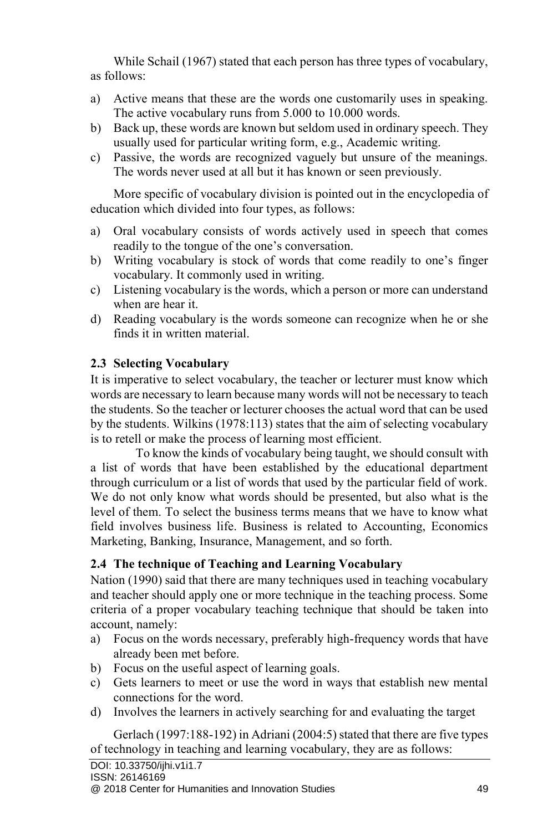While Schail (1967) stated that each person has three types of vocabulary, as follows:

- a) Active means that these are the words one customarily uses in speaking. The active vocabulary runs from 5.000 to 10.000 words.
- b) Back up, these words are known but seldom used in ordinary speech. They usually used for particular writing form, e.g., Academic writing.
- c) Passive, the words are recognized vaguely but unsure of the meanings. The words never used at all but it has known or seen previously.

More specific of vocabulary division is pointed out in the encyclopedia of education which divided into four types, as follows:

- a) Oral vocabulary consists of words actively used in speech that comes readily to the tongue of the one's conversation.
- b) Writing vocabulary is stock of words that come readily to one's finger vocabulary. It commonly used in writing.
- c) Listening vocabulary is the words, which a person or more can understand when are hear it.
- d) Reading vocabulary is the words someone can recognize when he or she finds it in written material.

# **2.3 Selecting Vocabulary**

It is imperative to select vocabulary, the teacher or lecturer must know which words are necessary to learn because many words will not be necessary to teach the students. So the teacher or lecturer chooses the actual word that can be used by the students. Wilkins (1978:113) states that the aim of selecting vocabulary is to retell or make the process of learning most efficient.

To know the kinds of vocabulary being taught, we should consult with a list of words that have been established by the educational department through curriculum or a list of words that used by the particular field of work. We do not only know what words should be presented, but also what is the level of them. To select the business terms means that we have to know what field involves business life. Business is related to Accounting, Economics Marketing, Banking, Insurance, Management, and so forth.

# **2.4 The technique of Teaching and Learning Vocabulary**

Nation (1990) said that there are many techniques used in teaching vocabulary and teacher should apply one or more technique in the teaching process. Some criteria of a proper vocabulary teaching technique that should be taken into account, namely:

- a) Focus on the words necessary, preferably high-frequency words that have already been met before.
- b) Focus on the useful aspect of learning goals.
- c) Gets learners to meet or use the word in ways that establish new mental connections for the word.
- d) Involves the learners in actively searching for and evaluating the target

Gerlach (1997:188-192) in Adriani (2004:5) stated that there are five types of technology in teaching and learning vocabulary, they are as follows: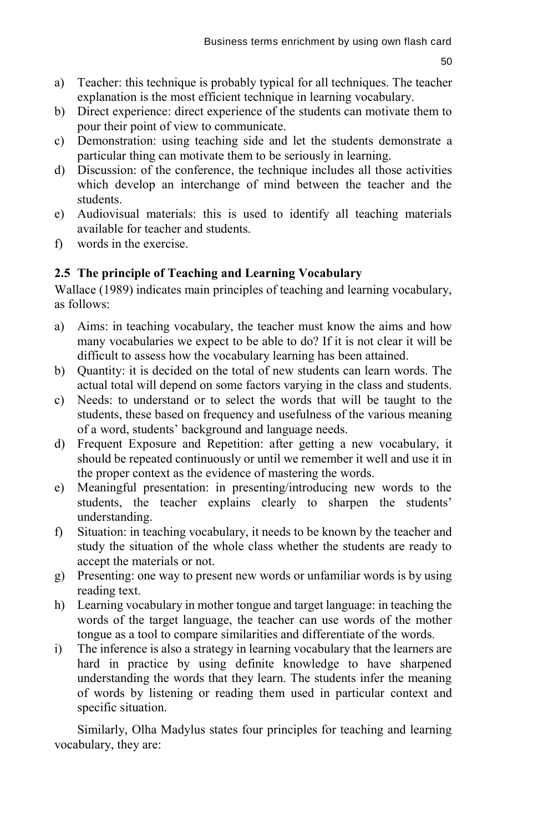- a) Teacher: this technique is probably typical for all techniques. The teacher explanation is the most efficient technique in learning vocabulary.
- b) Direct experience: direct experience of the students can motivate them to pour their point of view to communicate.
- c) Demonstration: using teaching side and let the students demonstrate a particular thing can motivate them to be seriously in learning.
- d) Discussion: of the conference, the technique includes all those activities which develop an interchange of mind between the teacher and the students.
- e) Audiovisual materials: this is used to identify all teaching materials available for teacher and students.
- f) words in the exercise.

## **2.5 The principle of Teaching and Learning Vocabulary**

Wallace (1989) indicates main principles of teaching and learning vocabulary, as follows:

- a) Aims: in teaching vocabulary, the teacher must know the aims and how many vocabularies we expect to be able to do? If it is not clear it will be difficult to assess how the vocabulary learning has been attained.
- b) Quantity: it is decided on the total of new students can learn words. The actual total will depend on some factors varying in the class and students.
- c) Needs: to understand or to select the words that will be taught to the students, these based on frequency and usefulness of the various meaning of a word, students' background and language needs.
- d) Frequent Exposure and Repetition: after getting a new vocabulary, it should be repeated continuously or until we remember it well and use it in the proper context as the evidence of mastering the words.
- e) Meaningful presentation: in presenting/introducing new words to the students, the teacher explains clearly to sharpen the students' understanding.
- f) Situation: in teaching vocabulary, it needs to be known by the teacher and study the situation of the whole class whether the students are ready to accept the materials or not.
- g) Presenting: one way to present new words or unfamiliar words is by using reading text.
- h) Learning vocabulary in mother tongue and target language: in teaching the words of the target language, the teacher can use words of the mother tongue as a tool to compare similarities and differentiate of the words.
- i) The inference is also a strategy in learning vocabulary that the learners are hard in practice by using definite knowledge to have sharpened understanding the words that they learn. The students infer the meaning of words by listening or reading them used in particular context and specific situation.

Similarly, Olha Madylus states four principles for teaching and learning vocabulary, they are: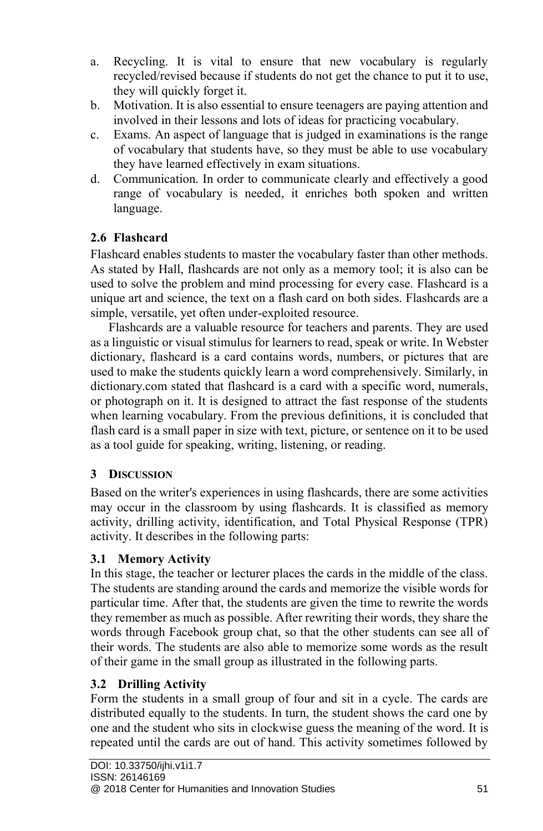- a. Recycling. It is vital to ensure that new vocabulary is regularly recycled/revised because if students do not get the chance to put it to use, they will quickly forget it.
- b. Motivation. It is also essential to ensure teenagers are paying attention and involved in their lessons and lots of ideas for practicing vocabulary.
- c. Exams. An aspect of language that is judged in examinations is the range of vocabulary that students have, so they must be able to use vocabulary they have learned effectively in exam situations.
- d. Communication. In order to communicate clearly and effectively a good range of vocabulary is needed, it enriches both spoken and written language.

# **2.6 Flashcard**

Flashcard enables students to master the vocabulary faster than other methods. As stated by Hall, flashcards are not only as a memory tool; it is also can be used to solve the problem and mind processing for every case. Flashcard is a unique art and science, the text on a flash card on both sides. Flashcards are a simple, versatile, yet often under-exploited resource.

Flashcards are a valuable resource for teachers and parents. They are used as a linguistic or visual stimulus for learners to read, speak or write. In Webster dictionary, flashcard is a card contains words, numbers, or pictures that are used to make the students quickly learn a word comprehensively. Similarly, in dictionary.com stated that flashcard is a card with a specific word, numerals, or photograph on it. It is designed to attract the fast response of the students when learning vocabulary. From the previous definitions, it is concluded that flash card is a small paper in size with text, picture, or sentence on it to be used as a tool guide for speaking, writing, listening, or reading.

## **3 DISCUSSION**

Based on the writer's experiences in using flashcards, there are some activities may occur in the classroom by using flashcards. It is classified as memory activity, drilling activity, identification, and Total Physical Response (TPR) activity. It describes in the following parts:

# **3.1 Memory Activity**

In this stage, the teacher or lecturer places the cards in the middle of the class. The students are standing around the cards and memorize the visible words for particular time. After that, the students are given the time to rewrite the words they remember as much as possible. After rewriting their words, they share the words through Facebook group chat, so that the other students can see all of their words. The students are also able to memorize some words as the result of their game in the small group as illustrated in the following parts.

# **3.2 Drilling Activity**

Form the students in a small group of four and sit in a cycle. The cards are distributed equally to the students. In turn, the student shows the card one by one and the student who sits in clockwise guess the meaning of the word. It is repeated until the cards are out of hand. This activity sometimes followed by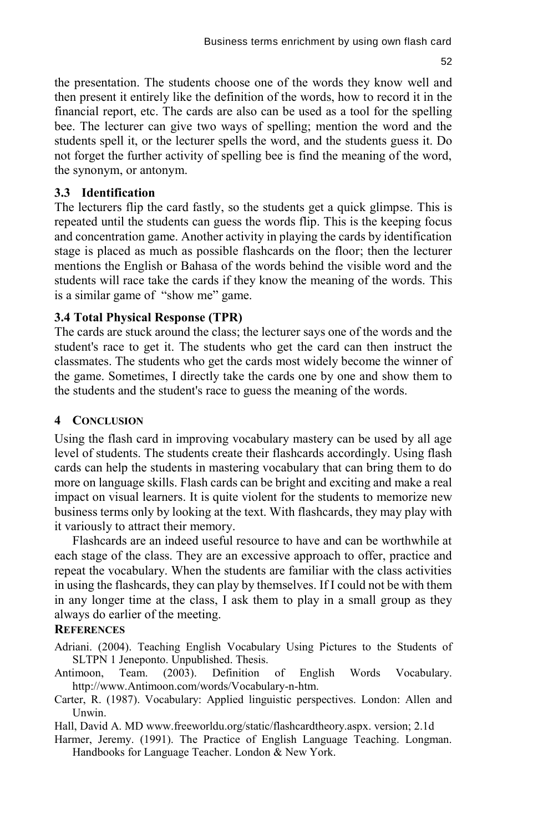the presentation. The students choose one of the words they know well and then present it entirely like the definition of the words, how to record it in the financial report, etc. The cards are also can be used as a tool for the spelling bee. The lecturer can give two ways of spelling; mention the word and the students spell it, or the lecturer spells the word, and the students guess it. Do not forget the further activity of spelling bee is find the meaning of the word, the synonym, or antonym.

### **3.3 Identification**

The lecturers flip the card fastly, so the students get a quick glimpse. This is repeated until the students can guess the words flip. This is the keeping focus and concentration game. Another activity in playing the cards by identification stage is placed as much as possible flashcards on the floor; then the lecturer mentions the English or Bahasa of the words behind the visible word and the students will race take the cards if they know the meaning of the words. This is a similar game of "show me" game.

### **3.4 Total Physical Response (TPR)**

The cards are stuck around the class; the lecturer says one of the words and the student's race to get it. The students who get the card can then instruct the classmates. The students who get the cards most widely become the winner of the game. Sometimes, I directly take the cards one by one and show them to the students and the student's race to guess the meaning of the words.

### **4 CONCLUSION**

Using the flash card in improving vocabulary mastery can be used by all age level of students. The students create their flashcards accordingly. Using flash cards can help the students in mastering vocabulary that can bring them to do more on language skills. Flash cards can be bright and exciting and make a real impact on visual learners. It is quite violent for the students to memorize new business terms only by looking at the text. With flashcards, they may play with it variously to attract their memory.

Flashcards are an indeed useful resource to have and can be worthwhile at each stage of the class. They are an excessive approach to offer, practice and repeat the vocabulary. When the students are familiar with the class activities in using the flashcards, they can play by themselves. If I could not be with them in any longer time at the class, I ask them to play in a small group as they always do earlier of the meeting.

### **REFERENCES**

- Adriani. (2004). Teaching English Vocabulary Using Pictures to the Students of SLTPN 1 Jeneponto. Unpublished. Thesis.
- Antimoon, Team. (2003). Definition of English Words Vocabulary. http://www.Antimoon.com/words/Vocabulary-n-htm.
- Carter, R. (1987). Vocabulary: Applied linguistic perspectives. London: Allen and **Unwin**

Hall, David A. MD www.freeworldu.org/static/flashcardtheory.aspx. version; 2.1d

Harmer, Jeremy. (1991). The Practice of English Language Teaching. Longman. Handbooks for Language Teacher. London & New York.